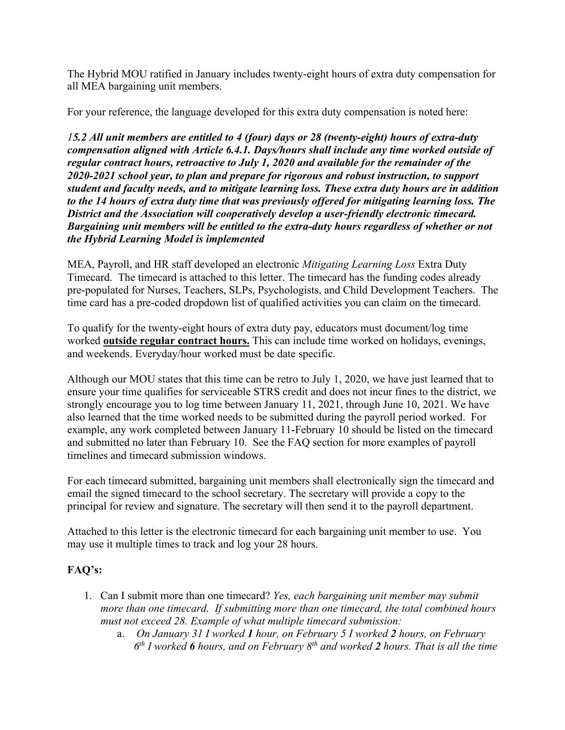The Hybrid MOU ratified in January includes twenty-eight hours of extra duty compensation for all MEA bargaining unit members.

For your reference, the language developed for this extra duty compensation is noted here:

*15.2 All unit members are entitled to 4 (four) days or 28 (twenty-eight) hours of extra-duty compensation aligned with Article 6.4.1. Days/hours shall include any time worked outside of regular contract hours, retroactive to July 1, 2020 and available for the remainder of the 2020-2021 school year, to plan and prepare for rigorous and robust instruction, to support student and faculty needs, and to mitigate learning loss. These extra duty hours are in addition to the 14 hours of extra duty time that was previously offered for mitigating learning loss. The District and the Association will cooperatively develop a user-friendly electronic timecard. Bargaining unit members will be entitled to the extra-duty hours regardless of whether or not the Hybrid Learning Model is implemented*

MEA, Payroll, and HR staff developed an electronic *Mitigating Learning Loss* Extra Duty Timecard. The timecard is attached to this letter. The timecard has the funding codes already pre-populated for Nurses, Teachers, SLPs, Psychologists, and Child Development Teachers. The time card has a pre-coded dropdown list of qualified activities you can claim on the timecard.

To qualify for the twenty-eight hours of extra duty pay, educators must document/log time worked **outside regular contract hours.** This can include time worked on holidays, evenings, and weekends. Everyday/hour worked must be date specific.

Although our MOU states that this time can be retro to July 1, 2020, we have just learned that to ensure your time qualifies for serviceable STRS credit and does not incur fines to the district, we strongly encourage you to log time between January 11, 2021, through June 10, 2021. We have also learned that the time worked needs to be submitted during the payroll period worked. For example, any work completed between January 11-February 10 should be listed on the timecard and submitted no later than February 10. See the FAQ section for more examples of payroll timelines and timecard submission windows.

For each timecard submitted, bargaining unit members shall electronically sign the timecard and email the signed timecard to the school secretary. The secretary will provide a copy to the principal for review and signature. The secretary will then send it to the payroll department.

Attached to this letter is the electronic timecard for each bargaining unit member to use. You may use it multiple times to track and log your 28 hours.

## **FAQ's:**

- 1. Can I submit more than one timecard? *Yes, each bargaining unit member may submit more than one timecard. If submitting more than one timecard, the total combined hours must not exceed 28. Example of what multiple timecard submission:* 
	- a. *On January 31 I worked 1 hour, on February 5 I worked 2 hours, on February 6th I worked 6 hours, and on February 8th and worked 2 hours. That is all the time*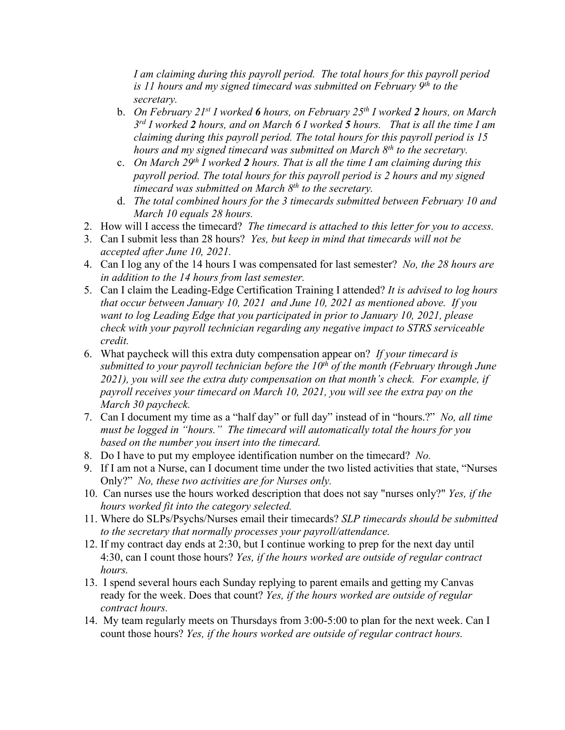*I am claiming during this payroll period. The total hours for this payroll period is 11 hours and my signed timecard was submitted on February 9th to the secretary.* 

- b. *On February 21st I worked 6 hours, on February 25th I worked 2 hours, on March 3rd I worked 2 hours, and on March 6 I worked 5 hours. That is all the time I am claiming during this payroll period. The total hours for this payroll period is 15 hours and my signed timecard was submitted on March 8th to the secretary.*
- c. *On March 29th I worked 2 hours. That is all the time I am claiming during this payroll period. The total hours for this payroll period is 2 hours and my signed timecard was submitted on March 8th to the secretary.*
- d. *The total combined hours for the 3 timecards submitted between February 10 and March 10 equals 28 hours.*
- 2. How will I access the timecard? *The timecard is attached to this letter for you to access.*
- 3. Can I submit less than 28 hours? *Yes, but keep in mind that timecards will not be accepted after June 10, 2021.*
- 4. Can I log any of the 14 hours I was compensated for last semester? *No, the 28 hours are in addition to the 14 hours from last semester.*
- 5. Can I claim the Leading-Edge Certification Training I attended? *It is advised to log hours that occur between January 10, 2021 and June 10, 2021 as mentioned above. If you want to log Leading Edge that you participated in prior to January 10, 2021, please check with your payroll technician regarding any negative impact to STRS serviceable credit.*
- 6. What paycheck will this extra duty compensation appear on? *If your timecard is submitted to your payroll technician before the 10th of the month (February through June 2021), you will see the extra duty compensation on that month's check. For example, if payroll receives your timecard on March 10, 2021, you will see the extra pay on the March 30 paycheck.*
- 7. Can I document my time as a "half day" or full day" instead of in "hours.?" *No, all time must be logged in "hours." The timecard will automatically total the hours for you based on the number you insert into the timecard.*
- 8. Do I have to put my employee identification number on the timecard? *No.*
- 9. If I am not a Nurse, can I document time under the two listed activities that state, "Nurses Only?" *No, these two activities are for Nurses only.*
- 10. Can nurses use the hours worked description that does not say "nurses only?" *Yes, if the hours worked fit into the category selected.*
- 11. Where do SLPs/Psychs/Nurses email their timecards? *SLP timecards should be submitted to the secretary that normally processes your payroll/attendance.*
- 12. If my contract day ends at 2:30, but I continue working to prep for the next day until 4:30, can I count those hours? *Yes, if the hours worked are outside of regular contract hours.*
- 13. I spend several hours each Sunday replying to parent emails and getting my Canvas ready for the week. Does that count? *Yes, if the hours worked are outside of regular contract hours.*
- 14. My team regularly meets on Thursdays from 3:00-5:00 to plan for the next week. Can I count those hours? *Yes, if the hours worked are outside of regular contract hours.*